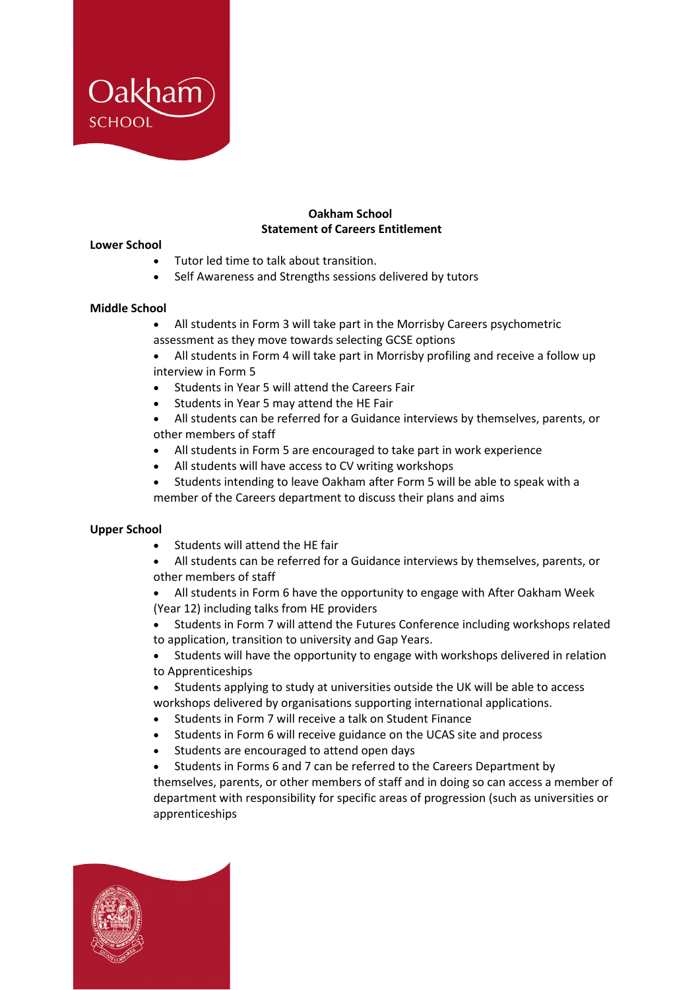

## **Oakham School Statement of Careers Entitlement**

#### **Lower School**

- Tutor led time to talk about transition.
- Self Awareness and Strengths sessions delivered by tutors

### **Middle School**

- All students in Form 3 will take part in the Morrisby Careers psychometric assessment as they move towards selecting GCSE options
- All students in Form 4 will take part in Morrisby profiling and receive a follow up interview in Form 5
- Students in Year 5 will attend the Careers Fair
- Students in Year 5 may attend the HE Fair
- All students can be referred for a Guidance interviews by themselves, parents, or other members of staff
- All students in Form 5 are encouraged to take part in work experience
- All students will have access to CV writing workshops
- Students intending to leave Oakham after Form 5 will be able to speak with a member of the Careers department to discuss their plans and aims

### **Upper School**

- Students will attend the HE fair
- All students can be referred for a Guidance interviews by themselves, parents, or other members of staff
- All students in Form 6 have the opportunity to engage with After Oakham Week (Year 12) including talks from HE providers
- Students in Form 7 will attend the Futures Conference including workshops related to application, transition to university and Gap Years.
- Students will have the opportunity to engage with workshops delivered in relation to Apprenticeships
- Students applying to study at universities outside the UK will be able to access workshops delivered by organisations supporting international applications.
- Students in Form 7 will receive a talk on Student Finance
- Students in Form 6 will receive guidance on the UCAS site and process
- Students are encouraged to attend open days
- Students in Forms 6 and 7 can be referred to the Careers Department by themselves, parents, or other members of staff and in doing so can access a member of department with responsibility for specific areas of progression (such as universities or apprenticeships